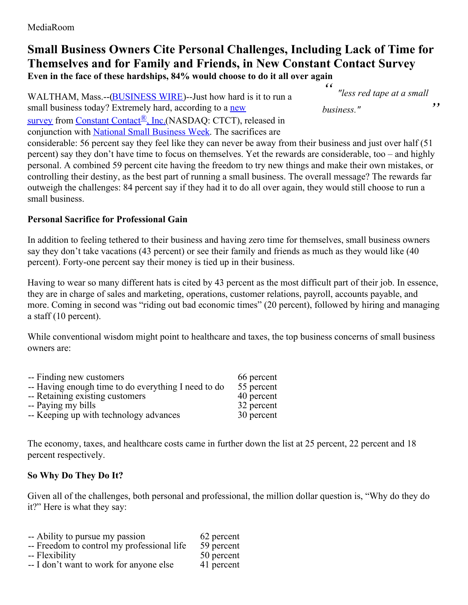# **Small Business Owners Cite Personal Challenges, Including Lack of Time for Themselves and for Family and Friends, in New Constant Contact Survey**

**Even in the face of these hardships, 84% would choose to do it all over again**

WALTHAM, Mass.--[\(BUSINESS](http://www.businesswire.com/) WIRE)--Just how hard is it to run a small business today? Extremely hard, according to a new survey from [Constant](http://cts.businesswire.com/ct/CT?id=smartlink&url=http%3A%2F%2Fwww.constantcontact.com&esheet=51093904&newsitemid=20150504005146&lan=en-US&anchor=Constant+Contact%C2%AE%2C+Inc.&index=2&md5=22c20a08498adacda0a028b234046219) Contact<sup>®</sup>, [Inc.\(NASDAQ:](http://cts.businesswire.com/ct/CT?id=smartlink&url=https%3A%2F%2Fconstantcontact.newshq.businesswire.com%2Fresearch%2Fpersonal-sacrificesprofessional-rewards-small-business-owners&esheet=51093904&newsitemid=20150504005146&lan=en-US&anchor=new+survey&index=1&md5=5c5626c64ea392d80dcaf6e015146b17) CTCT), released in conjunction with National Small [Business](http://cts.businesswire.com/ct/CT?id=smartlink&url=https%3A%2F%2Fwww.sba.gov%2Fnsbw%2Fnsbw&esheet=51093904&newsitemid=20150504005146&lan=en-US&anchor=National+Small+Business+Week&index=3&md5=e8ca38e7753ecffd5f0e68086ac4fec1) Week. The sacrifices are

*" " "less red tape at <sup>a</sup> small business."*

considerable: 56 percent say they feel like they can never be away from their business and just over half (51 percent) say they don't have time to focus on themselves. Yet the rewards are considerable, too – and highly personal. A combined 59 percent cite having the freedom to try new things and make their own mistakes, or controlling their destiny, as the best part of running a small business. The overall message? The rewards far outweigh the challenges: 84 percent say if they had it to do all over again, they would still choose to run a small business.

#### **Personal Sacrifice for Professional Gain**

In addition to feeling tethered to their business and having zero time for themselves, small business owners say they don't take vacations (43 percent) or see their family and friends as much as they would like (40 percent). Forty-one percent say their money is tied up in their business.

Having to wear so many different hats is cited by 43 percent as the most difficult part of their job. In essence, they are in charge of sales and marketing, operations, customer relations, payroll, accounts payable, and more. Coming in second was "riding out bad economic times" (20 percent), followed by hiring and managing a staff (10 percent).

While conventional wisdom might point to healthcare and taxes, the top business concerns of small business owners are:

| -- Finding new customers                            | 66 percent |
|-----------------------------------------------------|------------|
| -- Having enough time to do everything I need to do | 55 percent |
| -- Retaining existing customers                     | 40 percent |
| -- Paying my bills                                  | 32 percent |
| -- Keeping up with technology advances              | 30 percent |

The economy, taxes, and healthcare costs came in further down the list at 25 percent, 22 percent and 18 percent respectively.

### **So Why Do They Do It?**

Given all of the challenges, both personal and professional, the million dollar question is, "Why do they do it?" Here is what they say:

- -- Ability to pursue my passion 62 percent
- -- Freedom to control my professional life 59 percent<br>-- Flexibility 50 percent
- -- Flexibility
- -- I don't want to work for anyone else 41 percent
-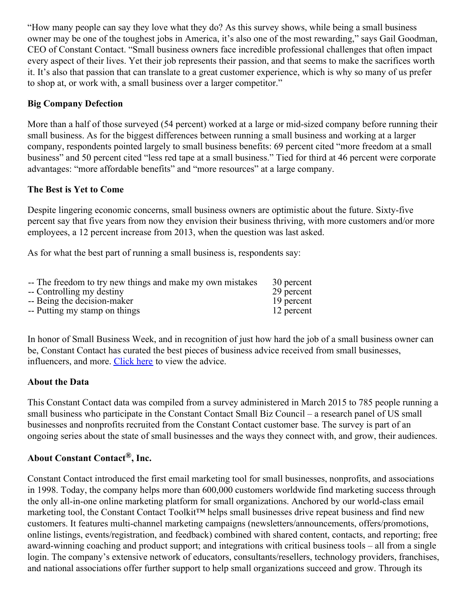"How many people can say they love what they do? As this survey shows, while being a small business owner may be one of the toughest jobs in America, it's also one of the most rewarding," says Gail Goodman, CEO of Constant Contact. "Small business owners face incredible professional challenges that often impact every aspect of their lives. Yet their job represents their passion, and that seems to make the sacrifices worth it. It's also that passion that can translate to a great customer experience, which is why so many of us prefer to shop at, or work with, a small business over a larger competitor."

#### **Big Company Defection**

More than a half of those surveyed (54 percent) worked at a large or mid-sized company before running their small business. As for the biggest differences between running a small business and working at a larger company, respondents pointed largely to small business benefits: 69 percent cited "more freedom at a small business" and 50 percent cited "less red tape at a small business." Tied for third at 46 percent were corporate advantages: "more affordable benefits" and "more resources" at a large company.

#### **The Best is Yet to Come**

Despite lingering economic concerns, small business owners are optimistic about the future. Sixty-five percent say that five years from now they envision their business thriving, with more customers and/or more employees, a 12 percent increase from 2013, when the question was last asked.

As for what the best part of running a small business is, respondents say:

| -- The freedom to try new things and make my own mistakes | 30 percent |
|-----------------------------------------------------------|------------|
| -- Controlling my destiny                                 | 29 percent |
| -- Being the decision-maker                               | 19 percent |
| -- Putting my stamp on things                             | 12 percent |

In honor of Small Business Week, and in recognition of just how hard the job of a small business owner can be, Constant Contact has curated the best pieces of business advice received from small businesses, influencers, and more. [Click](http://cts.businesswire.com/ct/CT?id=smartlink&url=http%3A%2F%2Fblogs.constantcontact.com%2Fbusiness-advice%2F%3Frmc%3Dcnt_guide_SBW_PR&esheet=51093904&newsitemid=20150504005146&lan=en-US&anchor=Click+here&index=4&md5=7fe91d1fd02f2244d9b1176f4b9b7f94) here to view the advice.

#### **About the Data**

This Constant Contact data was compiled from a survey administered in March 2015 to 785 people running a small business who participate in the Constant Contact Small Biz Council – a research panel of US small businesses and nonprofits recruited from the Constant Contact customer base. The survey is part of an ongoing series about the state of small businesses and the ways they connect with, and grow, their audiences.

## **About Constant Contact®, Inc.**

Constant Contact introduced the first email marketing tool for small businesses, nonprofits, and associations in 1998. Today, the company helps more than 600,000 customers worldwide find marketing success through the only all-in-one online marketing platform for small organizations. Anchored by our world-class email marketing tool, the Constant Contact Toolkit™ helps small businesses drive repeat business and find new customers. It features multi-channel marketing campaigns (newsletters/announcements, offers/promotions, online listings, events/registration, and feedback) combined with shared content, contacts, and reporting; free award-winning coaching and product support; and integrations with critical business tools – all from a single login. The company's extensive network of educators, consultants/resellers, technology providers, franchises, and national associations offer further support to help small organizations succeed and grow. Through its